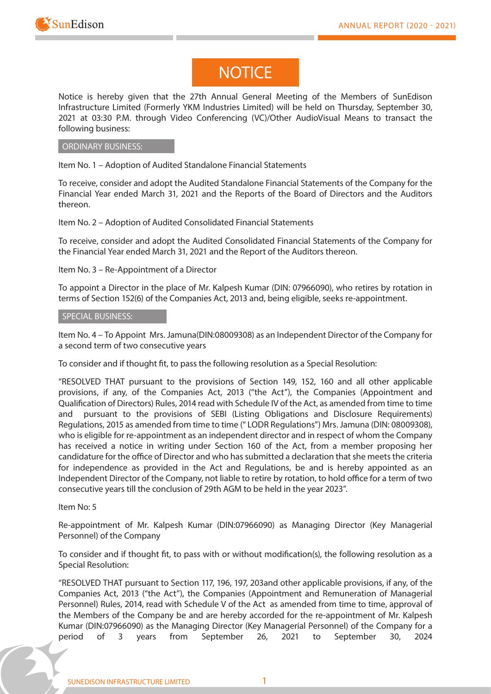

# **NOTICE**

**Notice** is hereby given that the 27th Annual General Meeting of the Members of SunEdison Infrastructure Limited (Formerly YKM Industries Limited) will be held on Thursday, September 30, 2021 at 03:30 P.M. through Video Conferencing (VC)/Other AudioVisual Means to transact the following business:

### **ORDINARY BUSINESS:**

**Item No. 1 – Adoption of Audited Standalone Financial Statements**

To receive, consider and adopt the Audited Standalone Financial Statements of the Company for the Financial Year ended March 31, 2021 and the Reports of the Board of Directors and the Auditors thereon.

**Item No. 2 – Adoption of Audited Consolidated Financial Statements**

To receive, consider and adopt the Audited Consolidated Financial Statements of the Company for the Financial Year ended March 31, 2021 and the Report of the Auditors thereon.

**Item No. 3 – Re-Appointment of a Director**

To appoint a Director in the place of Mr. Kalpesh Kumar (DIN: 07966090), who retires by rotation in terms of Section 152(6) of the Companies Act, 2013 and, being eligible, seeks re-appointment.

### **SPECIAL BUSINESS:**

**Item No. 4 – To Appoint Mrs. Jamuna(DIN:08009308) as an Independent Director of the Company for a second term of two consecutive years**

To consider and if thought fit, to pass the following resolution as a Special Resolution:

**"RESOLVED THAT** pursuant to the provisions of Section 149, 152, 160 and all other applicable provisions, if any, of the Companies Act, 2013 ("the Act"), the Companies (Appointment and Qualification of Directors) Rules, 2014 read with Schedule IV of the Act, as amended from time to time and pursuant to the provisions of SEBI (Listing Obligations and Disclosure Requirements) Regulations, 2015 as amended from time to time (" LODR Regulations") Mrs. Jamuna (DIN: 08009308), who is eligible for re-appointment as an independent director and in respect of whom the Company has received a notice in writing under Section 160 of the Act, from a member proposing her candidature for the office of Director and who has submitted a declaration that she meets the criteria for independence as provided in the Act and Regulations, be and is hereby appointed as an Independent Director of the Company, not liable to retire by rotation, to hold office for a term of two consecutive years till the conclusion of 29th AGM to be held in the year 2023".

### **Item No: 5**

**Re-appointment of Mr. Kalpesh Kumar (DIN:07966090) as Managing Director (Key Managerial Personnel) of the Company**

To consider and if thought fit, to pass with or without modification(s), the following resolution as a Special Resolution:

**"RESOLVED THAT** pursuant to Section 117, 196, 197, 203and other applicable provisions, if any, of the Companies Act, 2013 ("the Act"), the Companies (Appointment and Remuneration of Managerial Personnel) Rules, 2014, read with Schedule V of the Act as amended from time to time, approval of the Members of the Company be and are hereby accorded for the re-appointment of Mr. Kalpesh Kumar (DIN:07966090) as the Managing Director (Key Managerial Personnel) of the Company for a period of 3 years from September 26, 2021 to September 30, 2024

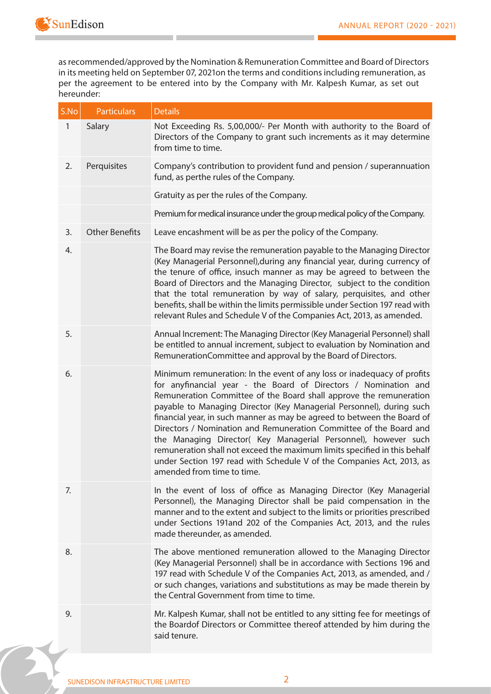

as recommended/approved by the Nomination & Remuneration Committee and Board of Directors in its meeting held on September 07, 2021on the terms and conditions including remuneration, as per the agreement to be entered into by the Company with Mr. Kalpesh Kumar, as set out hereunder:

| S.No         | <b>Particulars</b>    | <b>Details</b>                                                                                                                                                                                                                                                                                                                                                                                                                                                                                                                                                                                                                                                                                 |
|--------------|-----------------------|------------------------------------------------------------------------------------------------------------------------------------------------------------------------------------------------------------------------------------------------------------------------------------------------------------------------------------------------------------------------------------------------------------------------------------------------------------------------------------------------------------------------------------------------------------------------------------------------------------------------------------------------------------------------------------------------|
| $\mathbf{1}$ | Salary                | Not Exceeding Rs. 5,00,000/- Per Month with authority to the Board of<br>Directors of the Company to grant such increments as it may determine<br>from time to time.                                                                                                                                                                                                                                                                                                                                                                                                                                                                                                                           |
| 2.           | Perquisites           | Company's contribution to provident fund and pension / superannuation<br>fund, as perthe rules of the Company.                                                                                                                                                                                                                                                                                                                                                                                                                                                                                                                                                                                 |
|              |                       | Gratuity as per the rules of the Company.                                                                                                                                                                                                                                                                                                                                                                                                                                                                                                                                                                                                                                                      |
|              |                       | Premium for medical insurance under the group medical policy of the Company.                                                                                                                                                                                                                                                                                                                                                                                                                                                                                                                                                                                                                   |
| 3.           | <b>Other Benefits</b> | Leave encashment will be as per the policy of the Company.                                                                                                                                                                                                                                                                                                                                                                                                                                                                                                                                                                                                                                     |
| 4.           |                       | The Board may revise the remuneration payable to the Managing Director<br>(Key Managerial Personnel), during any financial year, during currency of<br>the tenure of office, insuch manner as may be agreed to between the<br>Board of Directors and the Managing Director, subject to the condition<br>that the total remuneration by way of salary, perquisites, and other<br>benefits, shall be within the limits permissible under Section 197 read with<br>relevant Rules and Schedule V of the Companies Act, 2013, as amended.                                                                                                                                                          |
| 5.           |                       | Annual Increment: The Managing Director (Key Managerial Personnel) shall<br>be entitled to annual increment, subject to evaluation by Nomination and<br>RemunerationCommittee and approval by the Board of Directors.                                                                                                                                                                                                                                                                                                                                                                                                                                                                          |
| 6.           |                       | Minimum remuneration: In the event of any loss or inadequacy of profits<br>for anyfinancial year - the Board of Directors / Nomination and<br>Remuneration Committee of the Board shall approve the remuneration<br>payable to Managing Director (Key Managerial Personnel), during such<br>financial year, in such manner as may be agreed to between the Board of<br>Directors / Nomination and Remuneration Committee of the Board and<br>the Managing Director(Key Managerial Personnel), however such<br>remuneration shall not exceed the maximum limits specified in this behalf<br>under Section 197 read with Schedule V of the Companies Act, 2013, as<br>amended from time to time. |
| 7.           |                       | In the event of loss of office as Managing Director (Key Managerial<br>Personnel), the Managing Director shall be paid compensation in the<br>manner and to the extent and subject to the limits or priorities prescribed<br>under Sections 191 and 202 of the Companies Act, 2013, and the rules<br>made thereunder, as amended.                                                                                                                                                                                                                                                                                                                                                              |
| 8.           |                       | The above mentioned remuneration allowed to the Managing Director<br>(Key Managerial Personnel) shall be in accordance with Sections 196 and<br>197 read with Schedule V of the Companies Act, 2013, as amended, and /<br>or such changes, variations and substitutions as may be made therein by<br>the Central Government from time to time.                                                                                                                                                                                                                                                                                                                                                 |
| 9.           |                       | Mr. Kalpesh Kumar, shall not be entitled to any sitting fee for meetings of<br>the Boardof Directors or Committee thereof attended by him during the<br>said tenure.                                                                                                                                                                                                                                                                                                                                                                                                                                                                                                                           |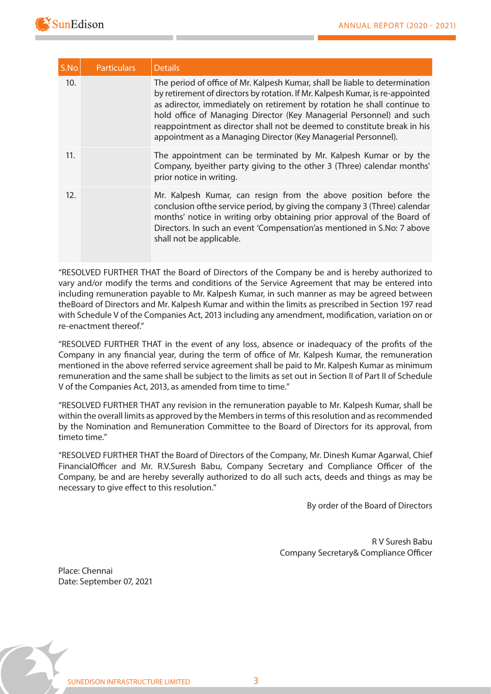

| S.No | <b>Particulars</b> | <b>Details</b>                                                                                                                                                                                                                                                                                                                                                                                                                                                 |
|------|--------------------|----------------------------------------------------------------------------------------------------------------------------------------------------------------------------------------------------------------------------------------------------------------------------------------------------------------------------------------------------------------------------------------------------------------------------------------------------------------|
| 10.  |                    | The period of office of Mr. Kalpesh Kumar, shall be liable to determination<br>by retirement of directors by rotation. If Mr. Kalpesh Kumar, is re-appointed<br>as adirector, immediately on retirement by rotation he shall continue to<br>hold office of Managing Director (Key Managerial Personnel) and such<br>reappointment as director shall not be deemed to constitute break in his<br>appointment as a Managing Director (Key Managerial Personnel). |
| 11.  |                    | The appointment can be terminated by Mr. Kalpesh Kumar or by the<br>Company, byeither party giving to the other 3 (Three) calendar months'<br>prior notice in writing.                                                                                                                                                                                                                                                                                         |
| 12.  |                    | Mr. Kalpesh Kumar, can resign from the above position before the<br>conclusion of the service period, by giving the company 3 (Three) calendar<br>months' notice in writing orby obtaining prior approval of the Board of<br>Directors. In such an event 'Compensation'as mentioned in S.No: 7 above<br>shall not be applicable.                                                                                                                               |

**"RESOLVED FURTHER THAT** the Board of Directors of the Company be and is hereby authorized to vary and/or modify the terms and conditions of the Service Agreement that may be entered into including remuneration payable to Mr. Kalpesh Kumar, in such manner as may be agreed between theBoard of Directors and Mr. Kalpesh Kumar and within the limits as prescribed in Section 197 read with Schedule V of the Companies Act, 2013 including any amendment, modification, variation on or re-enactment thereof."

**"RESOLVED FURTHER THAT** in the event of any loss, absence or inadequacy of the prots of the Company in any financial year, during the term of office of Mr. Kalpesh Kumar, the remuneration mentioned in the above referred service agreement shall be paid to Mr. Kalpesh Kumar as minimum remuneration and the same shall be subject to the limits as set out in Section II of Part II of Schedule V of the Companies Act, 2013, as amended from time to time."

**"RESOLVED FURTHER THAT** any revision in the remuneration payable to Mr. Kalpesh Kumar, shall be within the overall limits as approved by the Members in terms of this resolution and as recommended by the Nomination and Remuneration Committee to the Board of Directors for its approval, from timeto time."

**"RESOLVED FURTHER THAT** the Board of Directors of the Company, Mr. Dinesh Kumar Agarwal, Chief FinancialOfficer and Mr. R.V.Suresh Babu, Company Secretary and Compliance Officer of the Company, be and are hereby severally authorized to do all such acts, deeds and things as may be necessary to give effect to this resolution."

By order of the Board of Directors

 **R V Suresh Babu**  Company Secretary& Compliance Officer

Place: Chennai Date: September 07, 2021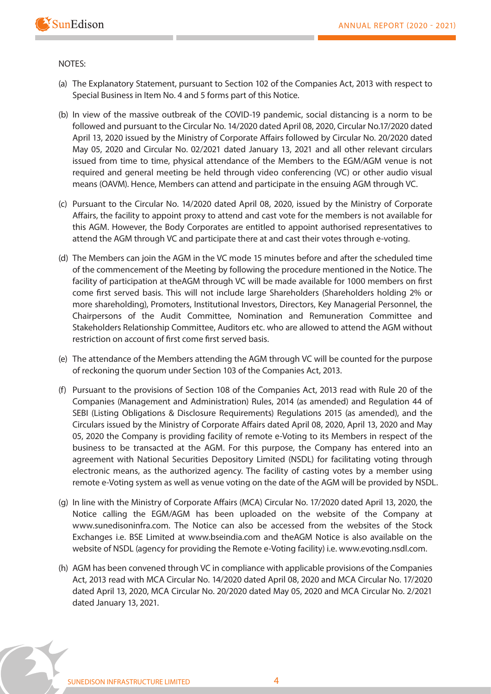

### **NOTES:**

- (a) The Explanatory Statement, pursuant to Section 102 of the Companies Act, 2013 with respect to Special Business in Item No. 4 and 5 forms part of this Notice.
- (b) In view of the massive outbreak of the COVID-19 pandemic, social distancing is a norm to be followed and pursuant to the Circular No. 14/2020 dated April 08, 2020, Circular No.17/2020 dated April 13, 2020 issued by the Ministry of Corporate Affairs followed by Circular No. 20/2020 dated May 05, 2020 and Circular No. 02/2021 dated January 13, 2021 and all other relevant circulars issued from time to time, physical attendance of the Members to the EGM/AGM venue is not required and general meeting be held through video conferencing (VC) or other audio visual means (OAVM). Hence, Members can attend and participate in the ensuing AGM through VC.
- (c) Pursuant to the Circular No. 14/2020 dated April 08, 2020, issued by the Ministry of Corporate Affairs, the facility to appoint proxy to attend and cast vote for the members is not available for this AGM. However, the Body Corporates are entitled to appoint authorised representatives to attend the AGM through VC and participate there at and cast their votes through e-voting.
- (d) The Members can join the AGM in the VC mode 15 minutes before and after the scheduled time of the commencement of the Meeting by following the procedure mentioned in the Notice. The facility of participation at theAGM through VC will be made available for 1000 members on first come first served basis. This will not include large Shareholders (Shareholders holding 2% or more shareholding), Promoters, Institutional Investors, Directors, Key Managerial Personnel, the Chairpersons of the Audit Committee, Nomination and Remuneration Committee and Stakeholders Relationship Committee, Auditors etc. who are allowed to attend the AGM without restriction on account of first come first served basis.
- (e) The attendance of the Members attending the AGM through VC will be counted for the purpose of reckoning the quorum under Section 103 of the Companies Act, 2013.
- (f) Pursuant to the provisions of Section 108 of the Companies Act, 2013 read with Rule 20 of the Companies (Management and Administration) Rules, 2014 (as amended) and Regulation 44 of SEBI (Listing Obligations & Disclosure Requirements) Regulations 2015 (as amended), and the Circulars issued by the Ministry of Corporate Affairs dated April 08, 2020, April 13, 2020 and May 05, 2020 the Company is providing facility of remote e-Voting to its Members in respect of the business to be transacted at the AGM. For this purpose, the Company has entered into an agreement with National Securities Depository Limited (NSDL) for facilitating voting through electronic means, as the authorized agency. The facility of casting votes by a member using remote e-Voting system as well as venue voting on the date of the AGM will be provided by NSDL.
- (g) In line with the Ministry of Corporate Affairs (MCA) Circular No. 17/2020 dated April 13, 2020, the Notice calling the EGM/AGM has been uploaded on the website of the Company at www.sunedisoninfra.com. The Notice can also be accessed from the websites of the Stock Exchanges i.e. BSE Limited at www.bseindia.com and theAGM Notice is also available on the website of NSDL (agency for providing the Remote e-Voting facility) i.e. www.evoting.nsdl.com.
- (h) AGM has been convened through VC in compliance with applicable provisions of the Companies Act, 2013 read with MCA Circular No. 14/2020 dated April 08, 2020 and MCA Circular No. 17/2020 dated April 13, 2020, MCA Circular No. 20/2020 dated May 05, 2020 and MCA Circular No. 2/2021 dated January 13, 2021.

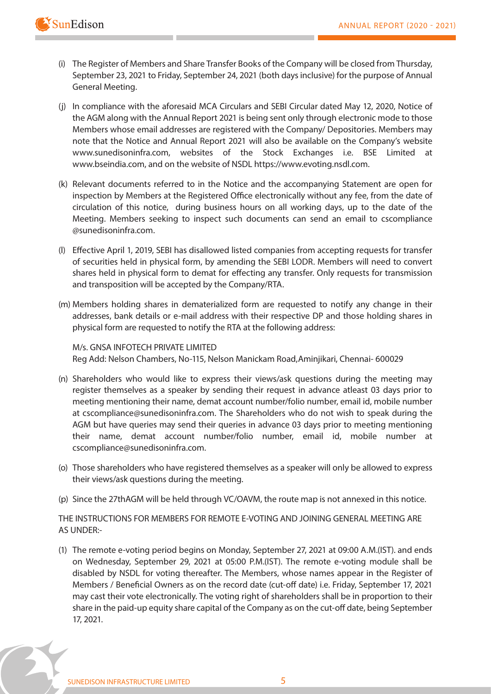

- (i) The Register of Members and Share Transfer Books of the Company will be closed from Thursday, September 23, 2021 to Friday, September 24, 2021 (both days inclusive) for the purpose of Annual General Meeting.
- (j) In compliance with the aforesaid MCA Circulars and SEBI Circular dated May 12, 2020, Notice of the AGM along with the Annual Report 2021 is being sent only through electronic mode to those Members whose email addresses are registered with the Company/ Depositories. Members may note that the Notice and Annual Report 2021 will also be available on the Company's website www.sunedisoninfra.com, websites of the Stock Exchanges i.e. BSE Limited at www.bseindia.com, and on the website of NSDL https://www.evoting.nsdl.com.
- (k) Relevant documents referred to in the Notice and the accompanying Statement are open for inspection by Members at the Registered Office electronically without any fee, from the date of circulation of this notice, during business hours on all working days, up to the date of the Meeting. Members seeking to inspect such documents can send an email to cscompliance @sunedisoninfra.com.
- (I) Effective April 1, 2019, SEBI has disallowed listed companies from accepting requests for transfer of securities held in physical form, by amending the SEBI LODR. Members will need to convert shares held in physical form to demat for effecting any transfer. Only requests for transmission and transposition will be accepted by the Company/RTA.
- (m) Members holding shares in dematerialized form are requested to notify any change in their addresses, bank details or e-mail address with their respective DP and those holding shares in physical form are requested to notify the RTA at the following address:

 **M/s. GNSA INFOTECH PRIVATE LIMITED** Reg Add: Nelson Chambers, No-115, Nelson Manickam Road,Aminjikari, Chennai- 600029

- (n) Shareholders who would like to express their views/ask questions during the meeting may register themselves as a speaker by sending their request in advance atleast 03 days prior to meeting mentioning their name, demat account number/folio number, email id, mobile number at cscompliance@sunedisoninfra.com. The Shareholders who do not wish to speak during the AGM but have queries may send their queries in advance 03 days prior to meeting mentioning their name, demat account number/folio number, email id, mobile number at cscompliance@sunedisoninfra.com.
- (o) Those shareholders who have registered themselves as a speaker will only be allowed to express their views/ask questions during the meeting.
- (p) Since the 27thAGM will be held through VC/OAVM, the route map is not annexed in this notice.

**THE INSTRUCTIONS FOR MEMBERS FOR REMOTE E-VOTING AND JOINING GENERAL MEETING ARE AS UNDER:-**

(1) The remote e-voting period begins on Monday, September 27, 2021 at 09:00 A.M.(IST). and ends on Wednesday, September 29, 2021 at 05:00 P.M.(IST). The remote e-voting module shall be disabled by NSDL for voting thereafter. The Members, whose names appear in the Register of Members / Beneficial Owners as on the record date (cut-off date) i.e. Friday, September 17, 2021 may cast their vote electronically. The voting right of shareholders shall be in proportion to their share in the paid-up equity share capital of the Company as on the cut-off date, being September 17, 2021.

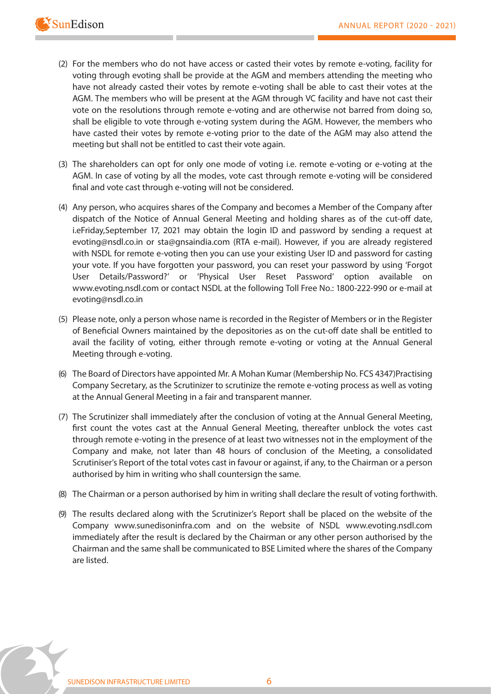

- (2) For the members who do not have access or casted their votes by remote e-voting, facility for voting through evoting shall be provide at the AGM and members attending the meeting who have not already casted their votes by remote e-voting shall be able to cast their votes at the AGM. The members who will be present at the AGM through VC facility and have not cast their vote on the resolutions through remote e-voting and are otherwise not barred from doing so, shall be eligible to vote through e-voting system during the AGM. However, the members who have casted their votes by remote e-voting prior to the date of the AGM may also attend the meeting but shall not be entitled to cast their vote again.
- (3) The shareholders can opt for only one mode of voting i.e. remote e-voting or e-voting at the AGM. In case of voting by all the modes, vote cast through remote e-voting will be considered final and vote cast through e-voting will not be considered.
- (4) Any person, who acquires shares of the Company and becomes a Member of the Company after dispatch of the Notice of Annual General Meeting and holding shares as of the cut-off date, i.eFriday,September 17, 2021 may obtain the login ID and password by sending a request at evoting@nsdl.co.in or sta@gnsaindia.com (RTA e-mail). However, if you are already registered with NSDL for remote e-voting then you can use your existing User ID and password for casting your vote. If you have forgotten your password, you can reset your password by using 'Forgot User Details/Password?' or 'Physical User Reset Password' option available on www.evoting.nsdl.com or contact NSDL at the following Toll Free No.: 1800-222-990 or e-mail at evoting@nsdl.co.in
- (5) Please note, only a person whose name is recorded in the Register of Members or in the Register of Beneficial Owners maintained by the depositories as on the cut-off date shall be entitled to avail the facility of voting, either through remote e-voting or voting at the Annual General Meeting through e-voting.
- (6) The Board of Directors have appointed Mr. A Mohan Kumar (Membership No. FCS 4347)Practising Company Secretary, as the Scrutinizer to scrutinize the remote e-voting process as well as voting at the Annual General Meeting in a fair and transparent manner.
- (7) The Scrutinizer shall immediately after the conclusion of voting at the Annual General Meeting, first count the votes cast at the Annual General Meeting, thereafter unblock the votes cast through remote e-voting in the presence of at least two witnesses not in the employment of the Company and make, not later than 48 hours of conclusion of the Meeting, a consolidated Scrutiniser's Report of the total votes cast in favour or against, if any, to the Chairman or a person authorised by him in writing who shall countersign the same.
- (8) The Chairman or a person authorised by him in writing shall declare the result of voting forthwith.
- (9) The results declared along with the Scrutinizer's Report shall be placed on the website of the Company www.sunedisoninfra.com and on the website of NSDL www.evoting.nsdl.com immediately after the result is declared by the Chairman or any other person authorised by the Chairman and the same shall be communicated to BSE Limited where the shares of the Company are listed.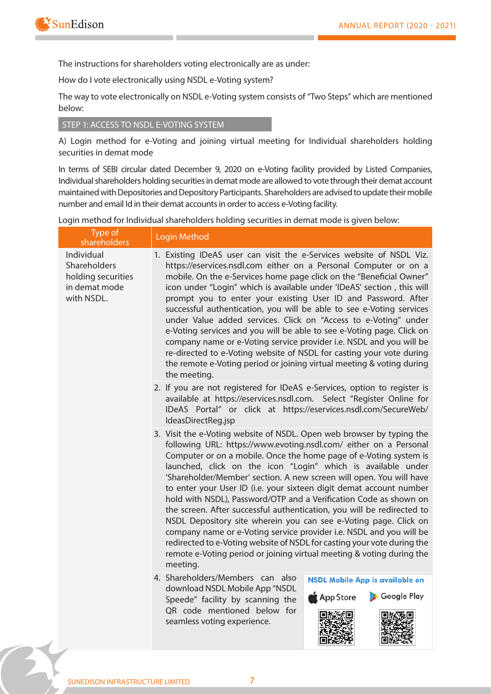

**The instructions for shareholders voting electronically are as under:**

**How do I vote electronically using NSDL e-Voting system?**

*The way to vote electronically on NSDL e-Voting system consists of "Two Steps" which are mentioned below:*

### **STEP 1: ACCESS TO NSDL E-VOTING SYSTEM**

**A) Login method for e-Voting and joining virtual meeting for Individual shareholders holding securities in demat mode**

In terms of SEBI circular dated December 9, 2020 on e-Voting facility provided by Listed Companies, Individual shareholders holding securities in demat mode are allowed to vote through their demat account maintained with Depositories and Depository Participants. Shareholders are advised to update their mobile number and email Id in their demat accounts in order to access e-Voting facility.

Login method for Individual shareholders holding securities in demat mode is given below:

| Type of<br>shareholders                                                         | Login Method                                                                                                                                                                                                                                                                                                                                                                                                                                                                                                                                                                                                                                                                                                                                                                                                                                                                            |  |
|---------------------------------------------------------------------------------|-----------------------------------------------------------------------------------------------------------------------------------------------------------------------------------------------------------------------------------------------------------------------------------------------------------------------------------------------------------------------------------------------------------------------------------------------------------------------------------------------------------------------------------------------------------------------------------------------------------------------------------------------------------------------------------------------------------------------------------------------------------------------------------------------------------------------------------------------------------------------------------------|--|
| Individual<br>Shareholders<br>holding securities<br>in demat mode<br>with NSDL. | 1. Existing IDeAS user can visit the e-Services website of NSDL Viz.<br>https://eservices.nsdl.com either on a Personal Computer or on a<br>mobile. On the e-Services home page click on the "Beneficial Owner"<br>icon under "Login" which is available under 'IDeAS' section, this will<br>prompt you to enter your existing User ID and Password. After<br>successful authentication, you will be able to see e-Voting services<br>under Value added services. Click on "Access to e-Voting" under<br>e-Voting services and you will be able to see e-Voting page. Click on<br>company name or e-Voting service provider i.e. NSDL and you will be<br>re-directed to e-Voting website of NSDL for casting your vote during<br>the remote e-Voting period or joining virtual meeting & voting during<br>the meeting.                                                                  |  |
|                                                                                 | 2. If you are not registered for IDeAS e-Services, option to register is<br>available at https://eservices.nsdl.com. Select "Register Online for<br>IDeAS Portal" or click at https://eservices.nsdl.com/SecureWeb/<br>IdeasDirectReg.jsp                                                                                                                                                                                                                                                                                                                                                                                                                                                                                                                                                                                                                                               |  |
|                                                                                 | 3. Visit the e-Voting website of NSDL. Open web browser by typing the<br>following URL: https://www.evoting.nsdl.com/ either on a Personal<br>Computer or on a mobile. Once the home page of e-Voting system is<br>launched, click on the icon "Login" which is available under<br>'Shareholder/Member' section. A new screen will open. You will have<br>to enter your User ID (i.e. your sixteen digit demat account number<br>hold with NSDL), Password/OTP and a Verification Code as shown on<br>the screen. After successful authentication, you will be redirected to<br>NSDL Depository site wherein you can see e-Voting page. Click on<br>company name or e-Voting service provider i.e. NSDL and you will be<br>redirected to e-Voting website of NSDL for casting your vote during the<br>remote e-Voting period or joining virtual meeting & voting during the<br>meeting. |  |
|                                                                                 | 4. Shareholders/Members can also<br><b>NSDL Mobile App is available on</b><br>download NSDL Mobile App "NSDL<br>Google Play<br>App Store<br>Speede" facility by scanning the<br>QR code mentioned below for<br>seamless voting experience.                                                                                                                                                                                                                                                                                                                                                                                                                                                                                                                                                                                                                                              |  |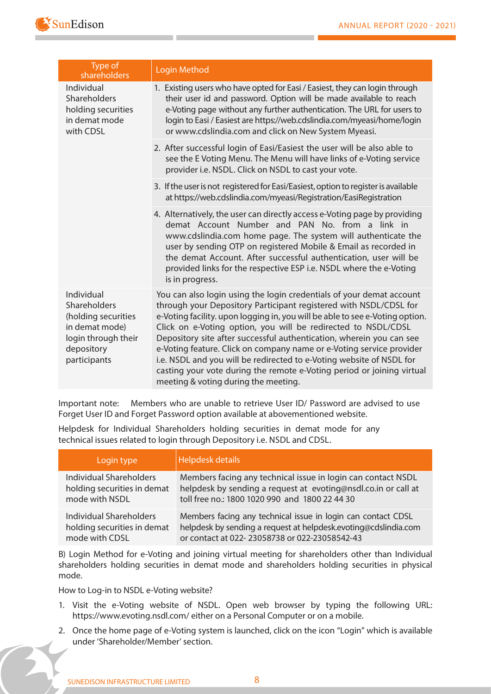

| Type of<br>shareholders                                                                                                  | <b>Login Method</b>                                                                                                                                                                                                                                                                                                                                                                                                                                                                                                                                                                                                                  |
|--------------------------------------------------------------------------------------------------------------------------|--------------------------------------------------------------------------------------------------------------------------------------------------------------------------------------------------------------------------------------------------------------------------------------------------------------------------------------------------------------------------------------------------------------------------------------------------------------------------------------------------------------------------------------------------------------------------------------------------------------------------------------|
| Individual<br>Shareholders<br>holding securities<br>in demat mode<br>with CDSL                                           | 1. Existing users who have opted for Easi / Easiest, they can login through<br>their user id and password. Option will be made available to reach<br>e-Voting page without any further authentication. The URL for users to<br>login to Easi / Easiest are https://web.cdslindia.com/myeasi/home/login<br>or www.cdslindia.com and click on New System Myeasi.                                                                                                                                                                                                                                                                       |
|                                                                                                                          | 2. After successful login of Easi/Easiest the user will be also able to<br>see the E Voting Menu. The Menu will have links of e-Voting service<br>provider i.e. NSDL. Click on NSDL to cast your vote.                                                                                                                                                                                                                                                                                                                                                                                                                               |
|                                                                                                                          | 3. If the user is not registered for Easi/Easiest, option to register is available<br>at https://web.cdslindia.com/myeasi/Registration/EasiRegistration                                                                                                                                                                                                                                                                                                                                                                                                                                                                              |
|                                                                                                                          | 4. Alternatively, the user can directly access e-Voting page by providing<br>demat Account Number and PAN No. from a link in<br>www.cdslindia.com home page. The system will authenticate the<br>user by sending OTP on registered Mobile & Email as recorded in<br>the demat Account. After successful authentication, user will be<br>provided links for the respective ESP i.e. NSDL where the e-Voting<br>is in progress.                                                                                                                                                                                                        |
| Individual<br>Shareholders<br>(holding securities<br>in demat mode)<br>login through their<br>depository<br>participants | You can also login using the login credentials of your demat account<br>through your Depository Participant registered with NSDL/CDSL for<br>e-Voting facility. upon logging in, you will be able to see e-Voting option.<br>Click on e-Voting option, you will be redirected to NSDL/CDSL<br>Depository site after successful authentication, wherein you can see<br>e-Voting feature. Click on company name or e-Voting service provider<br>i.e. NSDL and you will be redirected to e-Voting website of NSDL for<br>casting your vote during the remote e-Voting period or joining virtual<br>meeting & voting during the meeting. |

**Important note:** Members who are unable to retrieve User ID/ Password are advised to use Forget User ID and Forget Password option available at abovementioned website.

**Helpdesk for Individual Shareholders holding securities in demat mode for any technical issues related to login through Depository i.e. NSDL and CDSL.**

| Login type                  | Helpdesk details                                                |
|-----------------------------|-----------------------------------------------------------------|
| Individual Shareholders     | Members facing any technical issue in login can contact NSDL    |
| holding securities in demat | helpdesk by sending a request at evoting@nsdl.co.in or call at  |
| mode with NSDL              | toll free no.: 1800 1020 990 and 1800 22 44 30                  |
| Individual Shareholders     | Members facing any technical issue in login can contact CDSL    |
| holding securities in demat | helpdesk by sending a request at helpdesk.evoting@cdslindia.com |
| mode with CDSL              | or contact at 022-23058738 or 022-23058542-43                   |

**B) Login Method for e-Voting and joining virtual meeting for shareholders other than Individual shareholders holding securities in demat mode and shareholders holding securities in physical mode.**

**How to Log-in to NSDL e-Voting website?**

- 1. Visit the e-Voting website of NSDL. Open web browser by typing the following URL: https://www.evoting.nsdl.com/ either on a Personal Computer or on a mobile.
- 2. Once the home page of e-Voting system is launched, click on the icon "Login" which is available under 'Shareholder/Member' section.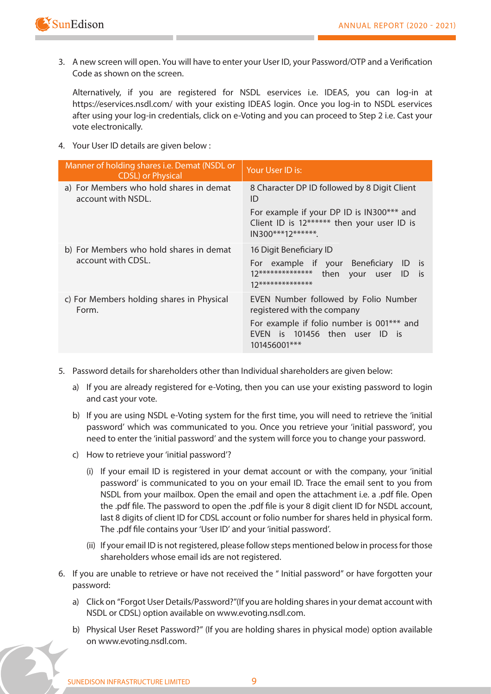

3. A new screen will open. You will have to enter your User ID, your Password/OTP and a Verification Code as shown on the screen.

 Alternatively, if you are registered for NSDL eservices i.e. IDEAS, you can log-in at https://eservices.nsdl.com/ with your existing IDEAS login. Once you log-in to NSDL eservices after using your log-in credentials, click on e-Voting and you can proceed to Step 2 i.e. Cast your vote electronically.

4. Your User ID details are given below :

| Manner of holding shares i.e. Demat (NSDL or<br><b>CDSL</b> ) or Physical | Your User ID is:                                                                                                                  |
|---------------------------------------------------------------------------|-----------------------------------------------------------------------------------------------------------------------------------|
| a) For Members who hold shares in demat<br>account with NSDL.             | 8 Character DP ID followed by 8 Digit Client<br>ID                                                                                |
|                                                                           | For example if your DP ID is IN300*** and<br>Client ID is 12****** then your user ID is<br>$IN300***12******$                     |
| b) For Members who hold shares in demat                                   | 16 Digit Beneficiary ID                                                                                                           |
| account with CDSL.                                                        | For example if your Beneficiary<br>ID<br>- is<br>$12*******************$<br>then<br>is.<br>your<br>ID<br>user<br>17************** |
| c) For Members holding shares in Physical<br>Form.                        | EVEN Number followed by Folio Number<br>registered with the company                                                               |
|                                                                           | For example if folio number is 001*** and<br>EVEN is 101456 then user ID is<br>101456001***                                       |

- 5. Password details for shareholders other than Individual shareholders are given below:
	- a) If you are already registered for e-Voting, then you can use your existing password to login and cast your vote.
	- b) If you are using NSDL e-Voting system for the first time, you will need to retrieve the 'initial password' which was communicated to you. Once you retrieve your 'initial password', you need to enter the 'initial password' and the system will force you to change your password.
	- c) How to retrieve your 'initial password'?
		- (i) If your email ID is registered in your demat account or with the company, your 'initial password' is communicated to you on your email ID. Trace the email sent to you from NSDL from your mailbox. Open the email and open the attachment i.e. a .pdf file. Open the .pdf file. The password to open the .pdf file is your 8 digit client ID for NSDL account, last 8 digits of client ID for CDSL account or folio number for shares held in physical form. The .pdf file contains your 'User ID' and your 'initial password'.
		- (ii) If your email ID is not registered, please follow steps mentioned below in process for those shareholders whose email ids are not registered.
- 6. If you are unable to retrieve or have not received the " Initial password" or have forgotten your password:
	- a) Click on "Forgot User Details/Password?"(If you are holding shares in your demat account with NSDL or CDSL) option available on www.evoting.nsdl.com.
	- b) Physical User Reset Password?" (If you are holding shares in physical mode) option available on www.evoting.nsdl.com.

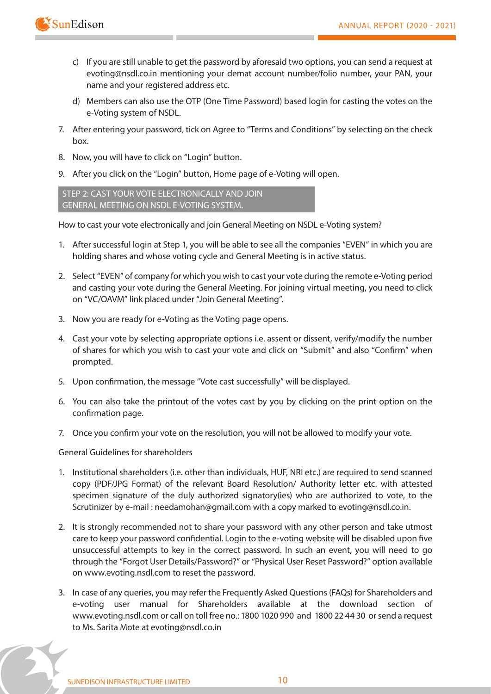

- c) If you are still unable to get the password by aforesaid two options, you can send a request at evoting@nsdl.co.in mentioning your demat account number/folio number, your PAN, your name and your registered address etc.
- d) Members can also use the OTP (One Time Password) based login for casting the votes on the e-Voting system of NSDL.
- 7. After entering your password, tick on Agree to "Terms and Conditions" by selecting on the check box.
- 8. Now, you will have to click on "Login" button.
- 9. After you click on the "Login" button, Home page of e-Voting will open.

 **STEP 2: CAST YOUR VOTE ELECTRONICALLY AND JOIN GENERAL MEETING ON NSDL E-VOTING SYSTEM.**

**How to cast your vote electronically and join General Meeting on NSDL e-Voting system?**

- 1. After successful login at Step 1, you will be able to see all the companies "EVEN" in which you are holding shares and whose voting cycle and General Meeting is in active status.
- 2. Select "EVEN" of company for which you wish to cast your vote during the remote e-Voting period and casting your vote during the General Meeting. For joining virtual meeting, you need to click on "VC/OAVM" link placed under "Join General Meeting".
- 3. Now you are ready for e-Voting as the Voting page opens.
- 4. Cast your vote by selecting appropriate options i.e. assent or dissent, verify/modify the number of shares for which you wish to cast your vote and click on "Submit" and also "Confirm" when prompted.
- 5. Upon confirmation, the message "Vote cast successfully" will be displayed.
- 6. You can also take the printout of the votes cast by you by clicking on the print option on the confirmation page.
- 7. Once you confirm your vote on the resolution, you will not be allowed to modify your vote.

**General Guidelines for shareholders**

- 1. Institutional shareholders (i.e. other than individuals, HUF, NRI etc.) are required to send scanned copy (PDF/JPG Format) of the relevant Board Resolution/ Authority letter etc. with attested specimen signature of the duly authorized signatory(ies) who are authorized to vote, to the Scrutinizer by e-mail : needamohan@gmail.com with a copy marked to evoting@nsdl.co.in.
- 2. It is strongly recommended not to share your password with any other person and take utmost care to keep your password confidential. Login to the e-voting website will be disabled upon five unsuccessful attempts to key in the correct password. In such an event, you will need to go through the "Forgot User Details/Password?" or "Physical User Reset Password?" option available on www.evoting.nsdl.com to reset the password.
- 3. In case of any queries, you may refer the Frequently Asked Questions (FAQs) for Shareholders and e-voting user manual for Shareholders available at the download section of www.evoting.nsdl.com or call on toll free no.: 1800 1020 990 and 1800 22 44 30 or send a request to Ms. Sarita Mote at evoting@nsdl.co.in

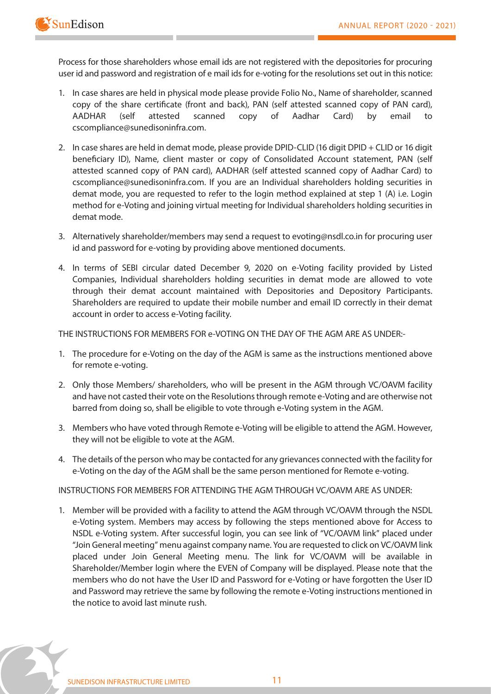**Process for those shareholders whose email ids are not registered with the depositories for procuring user id and password and registration of e mail ids for e-voting for the resolutions set out in this notice:**

- 1. In case shares are held in physical mode please provide Folio No., Name of shareholder, scanned copy of the share certificate (front and back), PAN (self attested scanned copy of PAN card), AADHAR (self attested scanned copy of Aadhar Card) by email to cscompliance@sunedisoninfra.com.
- 2. In case shares are held in demat mode, please provide DPID-CLID (16 digit DPID + CLID or 16 digit beneficiary ID), Name, client master or copy of Consolidated Account statement, PAN (self attested scanned copy of PAN card), AADHAR (self attested scanned copy of Aadhar Card) to cscompliance@sunedisoninfra.com. If you are an Individual shareholders holding securities in demat mode, you are requested to refer to the login method explained at step 1 (A) i.e. Login method for e-Voting and joining virtual meeting for Individual shareholders holding securities in demat mode.
- 3. Alternatively shareholder/members may send a request to evoting@nsdl.co.in for procuring user id and password for e-voting by providing above mentioned documents.
- 4. In terms of SEBI circular dated December 9, 2020 on e-Voting facility provided by Listed Companies, Individual shareholders holding securities in demat mode are allowed to vote through their demat account maintained with Depositories and Depository Participants. Shareholders are required to update their mobile number and email ID correctly in their demat account in order to access e-Voting facility.

**THE INSTRUCTIONS FOR MEMBERS FOR e-VOTING ON THE DAY OF THE AGM ARE AS UNDER:-**

- 1. The procedure for e-Voting on the day of the AGM is same as the instructions mentioned above for remote e-voting.
- 2. Only those Members/ shareholders, who will be present in the AGM through VC/OAVM facility and have not casted their vote on the Resolutions through remote e-Voting and are otherwise not barred from doing so, shall be eligible to vote through e-Voting system in the AGM.
- 3. Members who have voted through Remote e-Voting will be eligible to attend the AGM. However, they will not be eligible to vote at the AGM.
- 4. The details of the person who may be contacted for any grievances connected with the facility for e-Voting on the day of the AGM shall be the same person mentioned for Remote e-voting.

**INSTRUCTIONS FOR MEMBERS FOR ATTENDING THE AGM THROUGH VC/OAVM ARE AS UNDER:**

1. Member will be provided with a facility to attend the AGM through VC/OAVM through the NSDL e-Voting system. Members may access by following the steps mentioned above for Access to NSDL e-Voting system. After successful login, you can see link of "VC/OAVM link" placed under "Join General meeting" menu against company name. You are requested to click on VC/OAVM link placed under Join General Meeting menu. The link for VC/OAVM will be available in Shareholder/Member login where the EVEN of Company will be displayed. Please note that the members who do not have the User ID and Password for e-Voting or have forgotten the User ID and Password may retrieve the same by following the remote e-Voting instructions mentioned in the notice to avoid last minute rush.

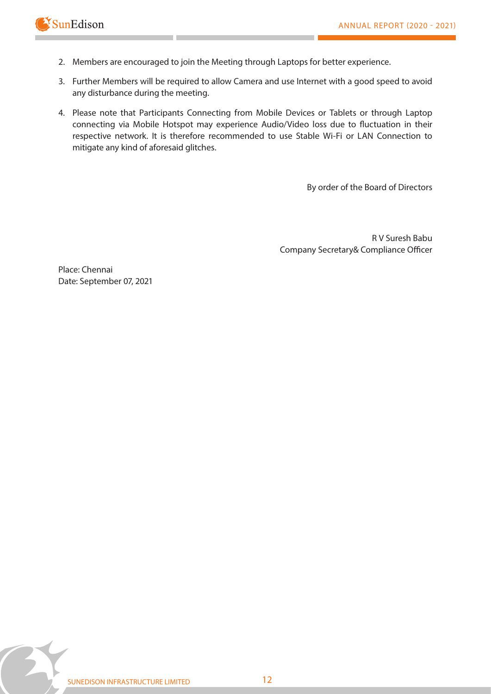

- 2. Members are encouraged to join the Meeting through Laptops for better experience.
- 3. Further Members will be required to allow Camera and use Internet with a good speed to avoid any disturbance during the meeting.
- 4. Please note that Participants Connecting from Mobile Devices or Tablets or through Laptop connecting via Mobile Hotspot may experience Audio/Video loss due to fluctuation in their respective network. It is therefore recommended to use Stable Wi-Fi or LAN Connection to mitigate any kind of aforesaid glitches.

By order of the Board of Directors

**R V Suresh Babu**  Company Secretary& Compliance Officer

Place: Chennai Date: September 07, 2021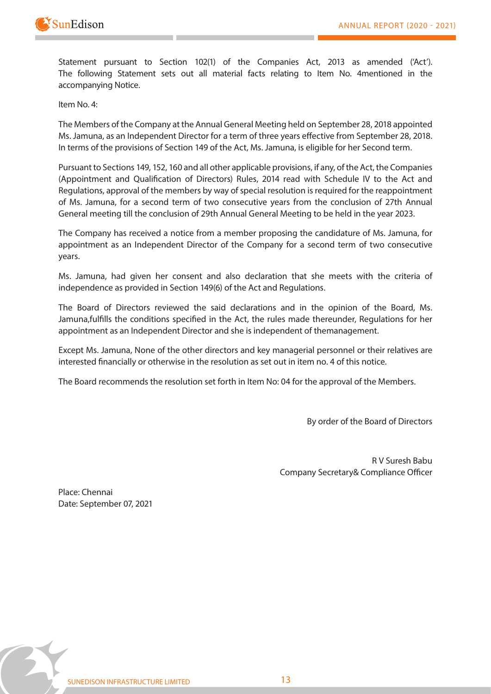

**Statement pursuant to Section 102(1) of the Companies Act, 2013 as amended ('Act'). The following Statement sets out all material facts relating to Item No. 4mentioned in the accompanying Notice.**

**Item No. 4:**

The Members of the Company at the Annual General Meeting held on September 28, 2018 appointed Ms. Jamuna, as an Independent Director for a term of three years effective from September 28, 2018. In terms of the provisions of Section 149 of the Act, Ms. Jamuna, is eligible for her Second term.

Pursuant to Sections 149, 152, 160 and all other applicable provisions, if any, of the Act, the Companies (Appointment and Qualification of Directors) Rules, 2014 read with Schedule IV to the Act and Regulations, approval of the members by way of special resolution is required for the reappointment of Ms. Jamuna, for a second term of two consecutive years from the conclusion of 27th Annual General meeting till the conclusion of 29th Annual General Meeting to be held in the year 2023.

The Company has received a notice from a member proposing the candidature of Ms. Jamuna, for appointment as an Independent Director of the Company for a second term of two consecutive years.

Ms. Jamuna, had given her consent and also declaration that she meets with the criteria of independence as provided in Section 149(6) of the Act and Regulations.

The Board of Directors reviewed the said declarations and in the opinion of the Board, Ms. Jamuna,fulfills the conditions specified in the Act, the rules made thereunder, Regulations for her appointment as an Independent Director and she is independent of themanagement.

Except Ms. Jamuna, None of the other directors and key managerial personnel or their relatives are interested financially or otherwise in the resolution as set out in item no. 4 of this notice.

The Board recommends the resolution set forth in Item No: 04 for the approval of the Members.

By order of the Board of Directors

**R V Suresh Babu**  Company Secretary& Compliance Officer

Place: Chennai Date: September 07, 2021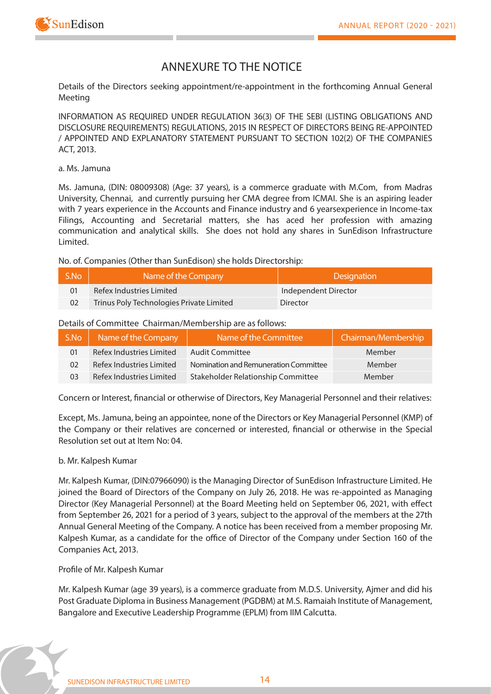



## **ANNEXURE TO THE NOTICE**

**Details of the Directors seeking appointment/re-appointment in the forthcoming Annual General Meeting**

**INFORMATION AS REQUIRED UNDER REGULATION 36(3) OF THE SEBI (LISTING OBLIGATIONS AND DISCLOSURE REQUIREMENTS) REGULATIONS, 2015 IN RESPECT OF DIRECTORS BEING RE-APPOINTED / APPOINTED AND EXPLANATORY STATEMENT PURSUANT TO SECTION 102(2) OF THE COMPANIES ACT, 2013.**

### a. Ms. Jamuna

Ms. Jamuna, (DIN: 08009308) (Age: 37 years), is a commerce graduate with M.Com, from Madras University, Chennai, and currently pursuing her CMA degree from ICMAI. She is an aspiring leader with 7 years experience in the Accounts and Finance industry and 6 yearsexperience in Income-tax Filings, Accounting and Secretarial matters, she has aced her profession with amazing communication and analytical skills. She does not hold any shares in SunEdison Infrastructure Limited.

No. of. Companies (Other than SunEdison) she holds Directorship:

| S.No | Name of the Company                      | <b>Designation</b>   |
|------|------------------------------------------|----------------------|
|      | Refex Industries Limited                 | Independent Director |
|      | Trinus Poly Technologies Private Limited | Director             |

### Details of Committee Chairman/Membership are as follows:

| S.No | Name of the Company      | Name of the Committee                 | Chairman/Membership |
|------|--------------------------|---------------------------------------|---------------------|
| 01   | Refex Industries Limited | Audit Committee                       | Member              |
| 02   | Refex Industries Limited | Nomination and Remuneration Committee | Member              |
| 03   | Refex Industries Limited | Stakeholder Relationship Committee    | Member              |

Concern or Interest, financial or otherwise of Directors, Key Managerial Personnel and their relatives:

Except, Ms. Jamuna, being an appointee, none of the Directors or Key Managerial Personnel (KMP) of the Company or their relatives are concerned or interested, financial or otherwise in the Special Resolution set out at Item No: 04.

### **b. Mr. Kalpesh Kumar**

Mr. Kalpesh Kumar, (DIN:07966090) is the Managing Director of SunEdison Infrastructure Limited. He joined the Board of Directors of the Company on July 26, 2018. He was re-appointed as Managing Director (Key Managerial Personnel) at the Board Meeting held on September 06, 2021, with effect from September 26, 2021 for a period of 3 years, subject to the approval of the members at the 27th Annual General Meeting of the Company. A notice has been received from a member proposing Mr. Kalpesh Kumar, as a candidate for the office of Director of the Company under Section 160 of the Companies Act, 2013.

### **Profile of Mr. Kalpesh Kumar**

Mr. Kalpesh Kumar (age 39 years), is a commerce graduate from M.D.S. University, Ajmer and did his Post Graduate Diploma in Business Management (PGDBM) at M.S. Ramaiah Institute of Management, Bangalore and Executive Leadership Programme (EPLM) from IIM Calcutta.

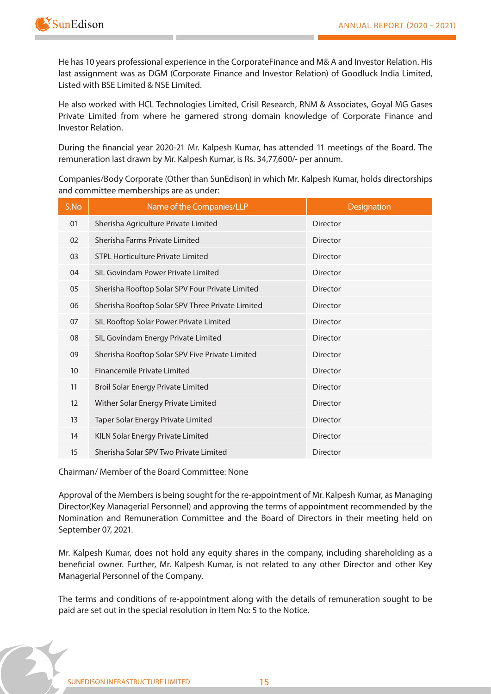

He has 10 years professional experience in the CorporateFinance and M& A and Investor Relation. His last assignment was as DGM (Corporate Finance and Investor Relation) of Goodluck India Limited, Listed with BSE Limited & NSE Limited.

He also worked with HCL Technologies Limited, Crisil Research, RNM & Associates, Goyal MG Gases Private Limited from where he garnered strong domain knowledge of Corporate Finance and Investor Relation.

During the financial year 2020-21 Mr. Kalpesh Kumar, has attended 11 meetings of the Board. The remuneration last drawn by Mr. Kalpesh Kumar, is Rs. 34,77,600/- per annum.

Companies/Body Corporate (Other than SunEdison) in which Mr. Kalpesh Kumar, holds directorships and committee memberships are as under:

| S.No | Name of the Companies/LLP                        | <b>Designation</b> |
|------|--------------------------------------------------|--------------------|
| 01   | Sherisha Agriculture Private Limited             | <b>Director</b>    |
| 02   | Sherisha Farms Private Limited                   | Director           |
| 03   | STPL Horticulture Private Limited                | <b>Director</b>    |
| 04   | SIL Govindam Power Private Limited               | <b>Director</b>    |
| 05   | Sherisha Rooftop Solar SPV Four Private Limited  | <b>Director</b>    |
| 06   | Sherisha Rooftop Solar SPV Three Private Limited | <b>Director</b>    |
| 07   | SIL Rooftop Solar Power Private Limited          | <b>Director</b>    |
| 08   | SIL Govindam Energy Private Limited              | <b>Director</b>    |
| 09   | Sherisha Rooftop Solar SPV Five Private Limited  | Director           |
| 10   | Financemile Private Limited                      | <b>Director</b>    |
| 11   | <b>Broil Solar Energy Private Limited</b>        | <b>Director</b>    |
| 12   | Wither Solar Energy Private Limited              | <b>Director</b>    |
| 13   | Taper Solar Energy Private Limited               | <b>Director</b>    |
| 14   | KILN Solar Energy Private Limited                | <b>Director</b>    |
| 15   | Sherisha Solar SPV Two Private Limited           | <b>Director</b>    |

**Chairman/ Member of the Board Committee: None**

Approval of the Members is being sought for the re-appointment of Mr. Kalpesh Kumar, as Managing Director(Key Managerial Personnel) and approving the terms of appointment recommended by the Nomination and Remuneration Committee and the Board of Directors in their meeting held on September 07, 2021.

Mr. Kalpesh Kumar, does not hold any equity shares in the company, including shareholding as a beneficial owner. Further, Mr. Kalpesh Kumar, is not related to any other Director and other Key Managerial Personnel of the Company.

The terms and conditions of re-appointment along with the details of remuneration sought to be paid are set out in the special resolution in Item No: 5 to the Notice.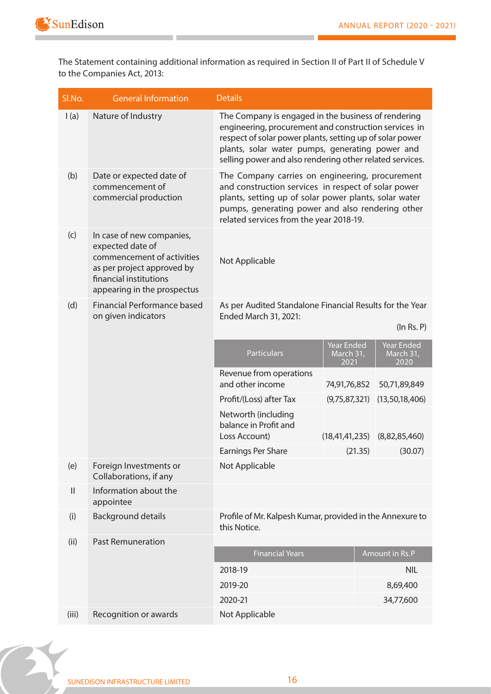

The Statement containing additional information as required in Section II of Part II of Schedule V to the Companies Act, 2013:

| Sl.No.        | <b>General Information</b>                                                                                                                                         | <b>Details</b>                                                                                                                                                                                                                                                                          |                                        |         |                                        |
|---------------|--------------------------------------------------------------------------------------------------------------------------------------------------------------------|-----------------------------------------------------------------------------------------------------------------------------------------------------------------------------------------------------------------------------------------------------------------------------------------|----------------------------------------|---------|----------------------------------------|
| I(a)          | Nature of Industry                                                                                                                                                 | The Company is engaged in the business of rendering<br>engineering, procurement and construction services in<br>respect of solar power plants, setting up of solar power<br>plants, solar water pumps, generating power and<br>selling power and also rendering other related services. |                                        |         |                                        |
| (b)           | Date or expected date of<br>commencement of<br>commercial production                                                                                               | The Company carries on engineering, procurement<br>and construction services in respect of solar power<br>plants, setting up of solar power plants, solar water<br>pumps, generating power and also rendering other<br>related services from the year 2018-19.                          |                                        |         |                                        |
| (c)           | In case of new companies,<br>expected date of<br>commencement of activities<br>as per project approved by<br>financial institutions<br>appearing in the prospectus | Not Applicable                                                                                                                                                                                                                                                                          |                                        |         |                                        |
| (d)           | <b>Financial Performance based</b><br>on given indicators                                                                                                          | As per Audited Standalone Financial Results for the Year<br>Ended March 31, 2021:                                                                                                                                                                                                       |                                        |         | (ln Rs. P)                             |
|               |                                                                                                                                                                    | <b>Particulars</b>                                                                                                                                                                                                                                                                      | <b>Year Ended</b><br>March 31,<br>2021 |         | <b>Year Ended</b><br>March 31,<br>2020 |
|               |                                                                                                                                                                    | Revenue from operations<br>and other income                                                                                                                                                                                                                                             | 74,91,76,852                           |         | 50,71,89,849                           |
|               |                                                                                                                                                                    | Profit/(Loss) after Tax                                                                                                                                                                                                                                                                 | (9,75,87,321)                          |         | (13, 50, 18, 406)                      |
|               |                                                                                                                                                                    | Networth (including<br>balance in Profit and<br>Loss Account)                                                                                                                                                                                                                           | (18, 41, 41, 235)                      |         | (8,82,85,460)                          |
|               |                                                                                                                                                                    | Earnings Per Share                                                                                                                                                                                                                                                                      |                                        | (21.35) | (30.07)                                |
| (e)           | Foreign Investments or<br>Collaborations, if any                                                                                                                   | Not Applicable                                                                                                                                                                                                                                                                          |                                        |         |                                        |
| $\mathbf{  }$ | Information about the<br>appointee                                                                                                                                 |                                                                                                                                                                                                                                                                                         |                                        |         |                                        |
| (i)           | <b>Background details</b>                                                                                                                                          | Profile of Mr. Kalpesh Kumar, provided in the Annexure to<br>this Notice.                                                                                                                                                                                                               |                                        |         |                                        |
| (ii)          | <b>Past Remuneration</b>                                                                                                                                           |                                                                                                                                                                                                                                                                                         |                                        |         |                                        |
|               |                                                                                                                                                                    | <b>Financial Years</b>                                                                                                                                                                                                                                                                  |                                        |         | Amount in Rs.P                         |
|               |                                                                                                                                                                    | 2018-19                                                                                                                                                                                                                                                                                 |                                        |         | <b>NIL</b>                             |
|               |                                                                                                                                                                    | 2019-20<br>2020-21                                                                                                                                                                                                                                                                      |                                        |         | 8,69,400<br>34,77,600                  |
| (iii)         | Recognition or awards                                                                                                                                              | Not Applicable                                                                                                                                                                                                                                                                          |                                        |         |                                        |

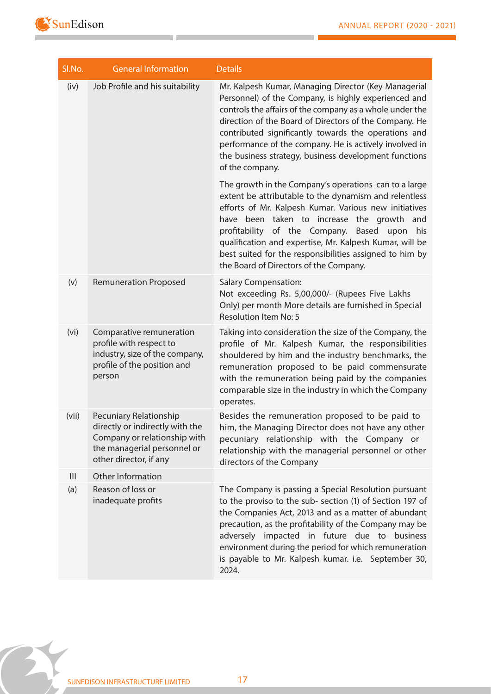

**Contract** 

| SI.No.         | <b>General Information</b>                                                                                                                         | <b>Details</b>                                                                                                                                                                                                                                                                                                                                                                                                                                 |
|----------------|----------------------------------------------------------------------------------------------------------------------------------------------------|------------------------------------------------------------------------------------------------------------------------------------------------------------------------------------------------------------------------------------------------------------------------------------------------------------------------------------------------------------------------------------------------------------------------------------------------|
| (iv)           | Job Profile and his suitability                                                                                                                    | Mr. Kalpesh Kumar, Managing Director (Key Managerial<br>Personnel) of the Company, is highly experienced and<br>controls the affairs of the company as a whole under the<br>direction of the Board of Directors of the Company. He<br>contributed significantly towards the operations and<br>performance of the company. He is actively involved in<br>the business strategy, business development functions<br>of the company.               |
|                |                                                                                                                                                    | The growth in the Company's operations can to a large<br>extent be attributable to the dynamism and relentless<br>efforts of Mr. Kalpesh Kumar. Various new initiatives<br>have been taken to increase the growth and<br>profitability of the Company.<br>Based<br>upon<br>his<br>qualification and expertise, Mr. Kalpesh Kumar, will be<br>best suited for the responsibilities assigned to him by<br>the Board of Directors of the Company. |
| (v)            | <b>Remuneration Proposed</b>                                                                                                                       | <b>Salary Compensation:</b><br>Not exceeding Rs. 5,00,000/- (Rupees Five Lakhs<br>Only) per month More details are furnished in Special<br><b>Resolution Item No: 5</b>                                                                                                                                                                                                                                                                        |
| (vi)           | Comparative remuneration<br>profile with respect to<br>industry, size of the company,<br>profile of the position and<br>person                     | Taking into consideration the size of the Company, the<br>profile of Mr. Kalpesh Kumar, the responsibilities<br>shouldered by him and the industry benchmarks, the<br>remuneration proposed to be paid commensurate<br>with the remuneration being paid by the companies<br>comparable size in the industry in which the Company<br>operates.                                                                                                  |
| (vii)          | Pecuniary Relationship<br>directly or indirectly with the<br>Company or relationship with<br>the managerial personnel or<br>other director, if any | Besides the remuneration proposed to be paid to<br>him, the Managing Director does not have any other<br>pecuniary relationship with the Company or<br>relationship with the managerial personnel or other<br>directors of the Company                                                                                                                                                                                                         |
| $\mathbf{III}$ | Other Information                                                                                                                                  |                                                                                                                                                                                                                                                                                                                                                                                                                                                |
| (a)            | Reason of loss or<br>inadequate profits                                                                                                            | The Company is passing a Special Resolution pursuant<br>to the proviso to the sub- section (1) of Section 197 of<br>the Companies Act, 2013 and as a matter of abundant<br>precaution, as the profitability of the Company may be<br>adversely impacted in future due to business<br>environment during the period for which remuneration<br>is payable to Mr. Kalpesh kumar. i.e. September 30,<br>2024.                                      |